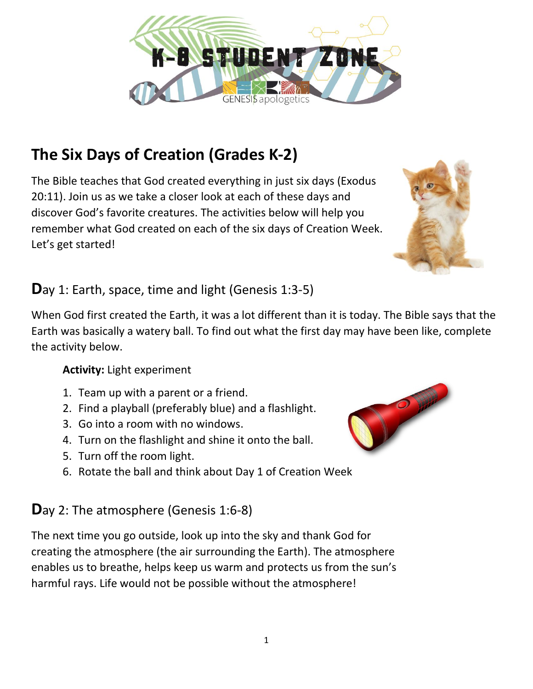# **The Six Days of Creation (Grades K-2)**

The Bible teaches that God created everything in just six days (Exodus 20:11). Join us as we take a closer look at each of these days and discover God's favorite creatures. The activities below will help you remember what God created on each of the six days of Creation Week. Let's get started!

## **D**ay 1: Earth, space, time and light (Genesis 1:3-5)

When God first created the Earth, it was a lot different than it is today. The Bible says that the Earth was basically a watery ball. To find out what the first day may have been like, complete the activity below.

#### **Activity:** Light experiment

- 1. Team up with a parent or a friend.
- 2. Find a playball (preferably blue) and a flashlight.
- 3. Go into a room with no windows.
- 4. Turn on the flashlight and shine it onto the ball.
- 5. Turn off the room light.
- 6. Rotate the ball and think about Day 1 of Creation Week

## **D**ay 2: The atmosphere (Genesis 1:6-8)

The next time you go outside, look up into the sky and thank God for creating the atmosphere (the air surrounding the Earth). The atmosphere enables us to breathe, helps keep us warm and protects us from the sun's harmful rays. Life would not be possible without the atmosphere!





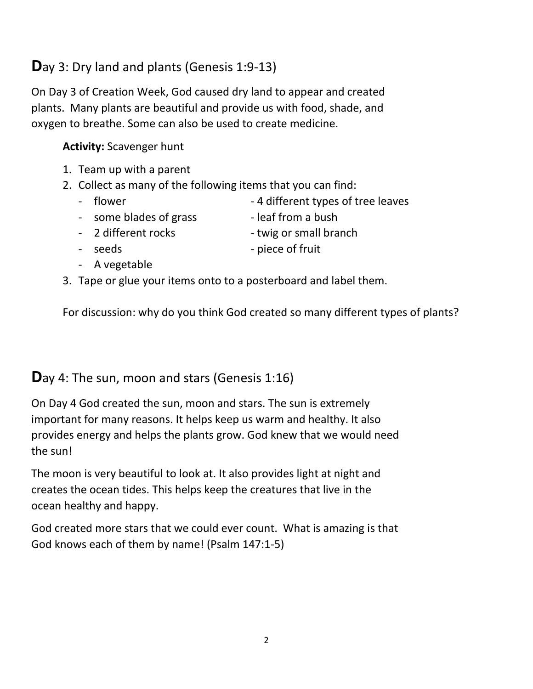# **D**ay 3: Dry land and plants (Genesis 1:9-13)

On Day 3 of Creation Week, God caused dry land to appear and created plants. Many plants are beautiful and provide us with food, shade, and oxygen to breathe. Some can also be used to create medicine.

#### **Activity:** Scavenger hunt

- 1. Team up with a parent
- 2. Collect as many of the following items that you can find:
	-
	- flower extending the 4 different types of tree leaves
	- some blades of grass leaf from a bush
		-
	- 2 different rocks twig or small branch
	- seeds piece of fruit
	- A vegetable
- 3. Tape or glue your items onto to a posterboard and label them.

For discussion: why do you think God created so many different types of plants?

## **D**ay 4: The sun, moon and stars (Genesis 1:16)

On Day 4 God created the sun, moon and stars. The sun is extremely important for many reasons. It helps keep us warm and healthy. It also provides energy and helps the plants grow. God knew that we would need the sun!

The moon is very beautiful to look at. It also provides light at night and creates the ocean tides. This helps keep the creatures that live in the ocean healthy and happy.

God created more stars that we could ever count. What is amazing is that God knows each of them by name! (Psalm 147:1-5)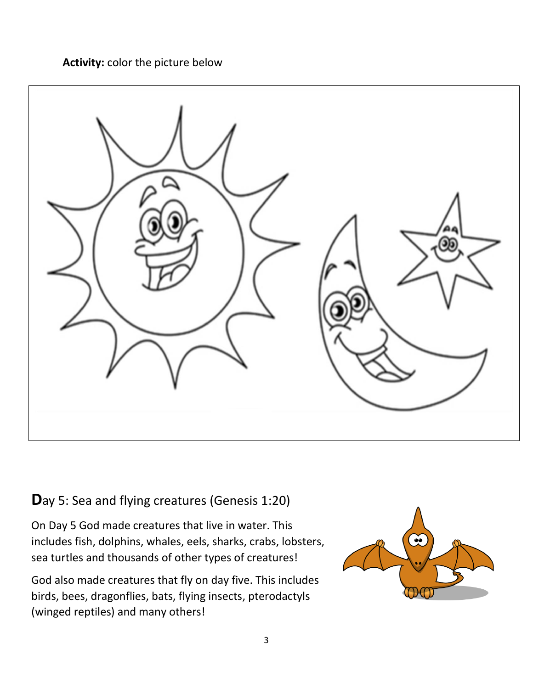**Activity:** color the picture below



**D**ay 5: Sea and flying creatures (Genesis 1:20)

On Day 5 God made creatures that live in water. This includes fish, dolphins, whales, eels, sharks, crabs, lobsters, sea turtles and thousands of other types of creatures!

God also made creatures that fly on day five. This includes birds, bees, dragonflies, bats, flying insects, pterodactyls (winged reptiles) and many others!